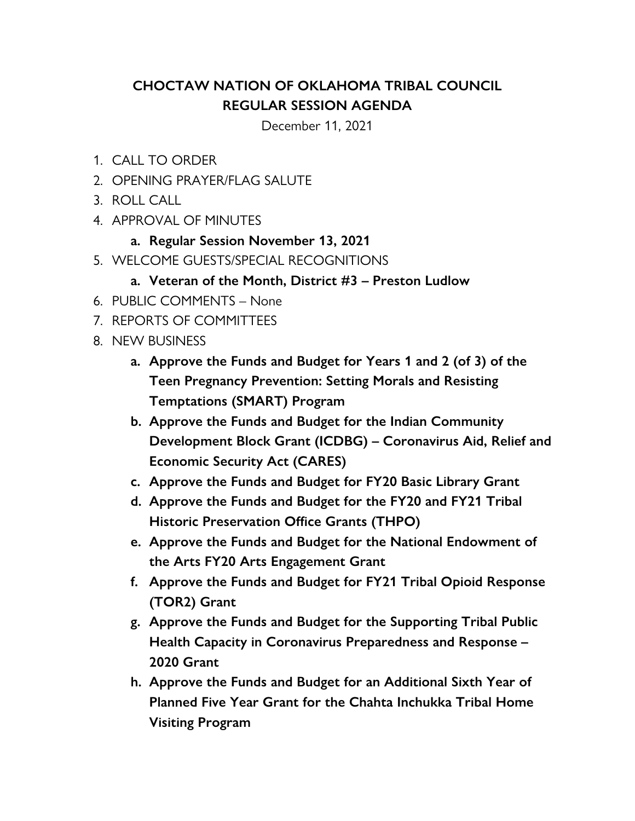## **CHOCTAW NATION OF OKLAHOMA TRIBAL COUNCIL REGULAR SESSION AGENDA**

December 11, 2021

- 1. CALL TO ORDER
- 2. OPENING PRAYER/FLAG SALUTE
- 3. ROLL CALL
- 4. APPROVAL OF MINUTES
	- **a. Regular Session November 13, 2021**
- 5. WELCOME GUESTS/SPECIAL RECOGNITIONS
	- **a. Veteran of the Month, District #3 Preston Ludlow**
- 6. PUBLIC COMMENTS None
- 7. REPORTS OF COMMITTEES
- 8. NEW BUSINESS
	- **a. Approve the Funds and Budget for Years 1 and 2 (of 3) of the Teen Pregnancy Prevention: Setting Morals and Resisting Temptations (SMART) Program**
	- **b. Approve the Funds and Budget for the Indian Community Development Block Grant (ICDBG) – Coronavirus Aid, Relief and Economic Security Act (CARES)**
	- **c. Approve the Funds and Budget for FY20 Basic Library Grant**
	- **d. Approve the Funds and Budget for the FY20 and FY21 Tribal Historic Preservation Office Grants (THPO)**
	- **e. Approve the Funds and Budget for the National Endowment of the Arts FY20 Arts Engagement Grant**
	- **f. Approve the Funds and Budget for FY21 Tribal Opioid Response (TOR2) Grant**
	- **g. Approve the Funds and Budget for the Supporting Tribal Public Health Capacity in Coronavirus Preparedness and Response – 2020 Grant**
	- **h. Approve the Funds and Budget for an Additional Sixth Year of Planned Five Year Grant for the Chahta Inchukka Tribal Home Visiting Program**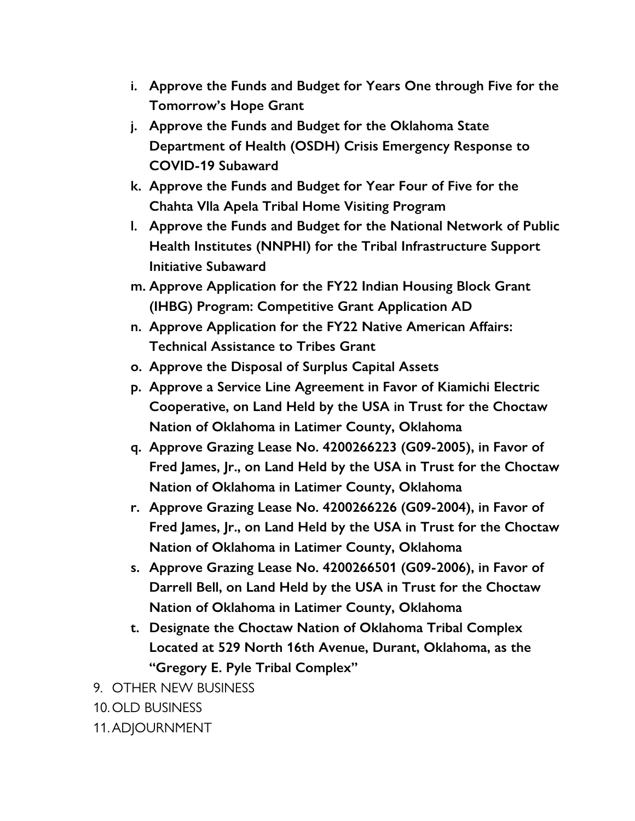- **i. Approve the Funds and Budget for Years One through Five for the Tomorrow's Hope Grant**
- **j. Approve the Funds and Budget for the Oklahoma State Department of Health (OSDH) Crisis Emergency Response to COVID-19 Subaward**
- **k. Approve the Funds and Budget for Year Four of Five for the Chahta Vlla Apela Tribal Home Visiting Program**
- **l. Approve the Funds and Budget for the National Network of Public Health Institutes (NNPHI) for the Tribal Infrastructure Support Initiative Subaward**
- **m. Approve Application for the FY22 Indian Housing Block Grant (IHBG) Program: Competitive Grant Application AD**
- **n. Approve Application for the FY22 Native American Affairs: Technical Assistance to Tribes Grant**
- **o. Approve the Disposal of Surplus Capital Assets**
- **p. Approve a Service Line Agreement in Favor of Kiamichi Electric Cooperative, on Land Held by the USA in Trust for the Choctaw Nation of Oklahoma in Latimer County, Oklahoma**
- **q. Approve Grazing Lease No. 4200266223 (G09-2005), in Favor of Fred James, Jr., on Land Held by the USA in Trust for the Choctaw Nation of Oklahoma in Latimer County, Oklahoma**
- **r. Approve Grazing Lease No. 4200266226 (G09-2004), in Favor of Fred James, Jr., on Land Held by the USA in Trust for the Choctaw Nation of Oklahoma in Latimer County, Oklahoma**
- **s. Approve Grazing Lease No. 4200266501 (G09-2006), in Favor of Darrell Bell, on Land Held by the USA in Trust for the Choctaw Nation of Oklahoma in Latimer County, Oklahoma**
- **t. Designate the Choctaw Nation of Oklahoma Tribal Complex Located at 529 North 16th Avenue, Durant, Oklahoma, as the "Gregory E. Pyle Tribal Complex"**

9. OTHER NEW BUSINESS

10. OLD BUSINESS

11.ADJOURNMENT